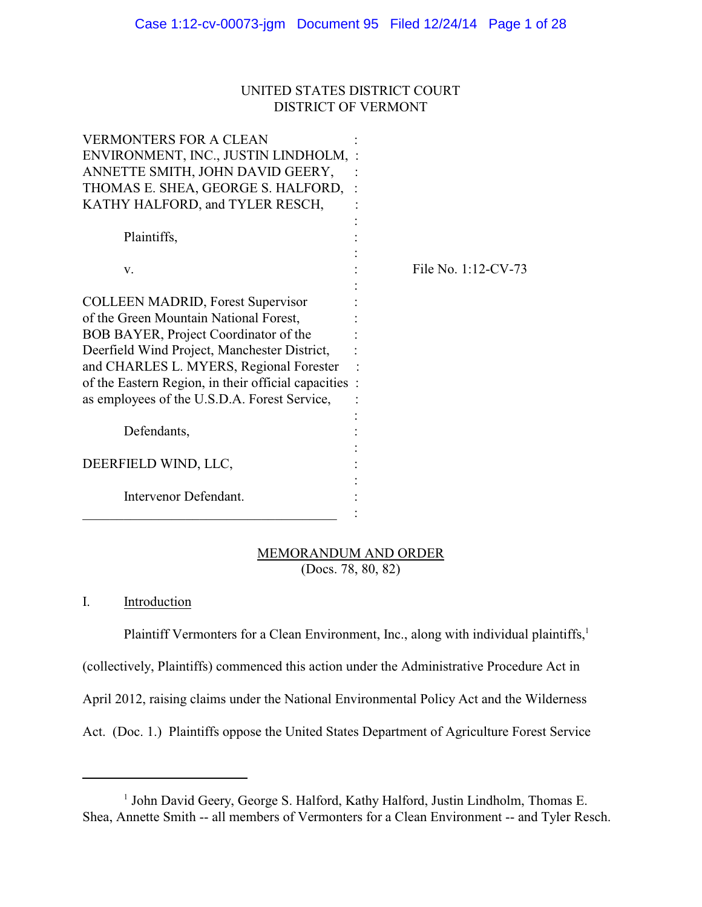# UNITED STATES DISTRICT COURT DISTRICT OF VERMONT

| VERMONTERS FOR A CLEAN<br>ENVIRONMENT, INC., JUSTIN LINDHOLM, :<br>ANNETTE SMITH, JOHN DAVID GEERY,<br>THOMAS E. SHEA, GEORGE S. HALFORD, :<br>KATHY HALFORD, and TYLER RESCH,                                                                                                                                                  |                     |
|---------------------------------------------------------------------------------------------------------------------------------------------------------------------------------------------------------------------------------------------------------------------------------------------------------------------------------|---------------------|
| Plaintiffs,                                                                                                                                                                                                                                                                                                                     |                     |
| V.                                                                                                                                                                                                                                                                                                                              | File No. 1:12-CV-73 |
| <b>COLLEEN MADRID, Forest Supervisor</b><br>of the Green Mountain National Forest,<br>BOB BAYER, Project Coordinator of the<br>Deerfield Wind Project, Manchester District,<br>and CHARLES L. MYERS, Regional Forester<br>of the Eastern Region, in their official capacities :<br>as employees of the U.S.D.A. Forest Service, |                     |
| Defendants,                                                                                                                                                                                                                                                                                                                     |                     |
| DEERFIELD WIND, LLC,                                                                                                                                                                                                                                                                                                            |                     |
| Intervenor Defendant.                                                                                                                                                                                                                                                                                                           |                     |

# MEMORANDUM AND ORDER (Docs. 78, 80, 82)

# I. Introduction

Plaintiff Vermonters for a Clean Environment, Inc., along with individual plaintiffs,<sup>1</sup> (collectively, Plaintiffs) commenced this action under the Administrative Procedure Act in April 2012, raising claims under the National Environmental Policy Act and the Wilderness Act. (Doc. 1.) Plaintiffs oppose the United States Department of Agriculture Forest Service

<sup>&</sup>lt;sup>1</sup> John David Geery, George S. Halford, Kathy Halford, Justin Lindholm, Thomas E. Shea, Annette Smith -- all members of Vermonters for a Clean Environment -- and Tyler Resch.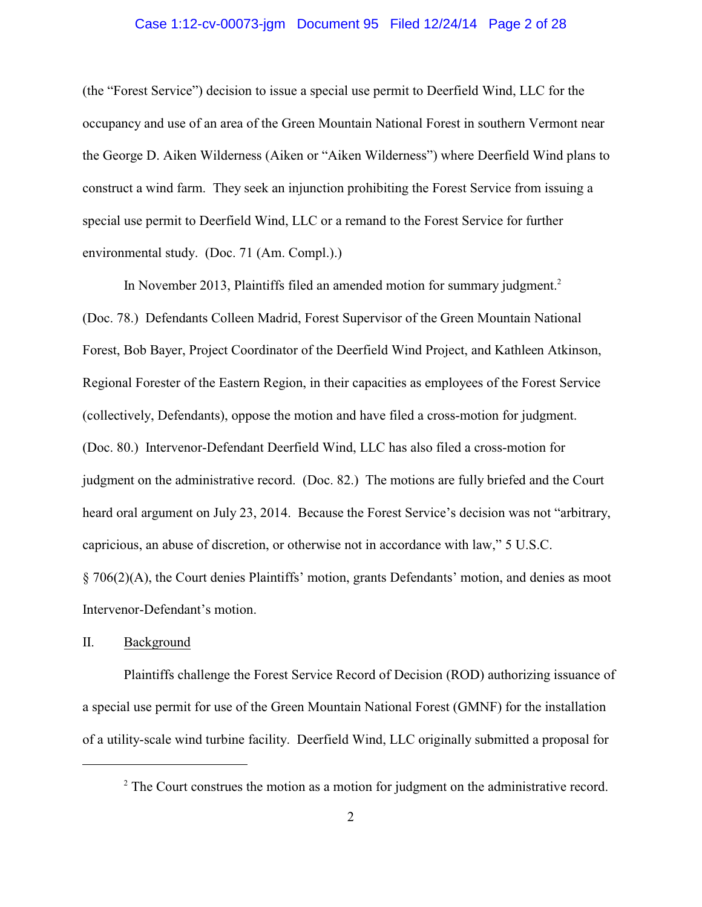#### Case 1:12-cv-00073-jgm Document 95 Filed 12/24/14 Page 2 of 28

(the "Forest Service") decision to issue a special use permit to Deerfield Wind, LLC for the occupancy and use of an area of the Green Mountain National Forest in southern Vermont near the George D. Aiken Wilderness (Aiken or "Aiken Wilderness") where Deerfield Wind plans to construct a wind farm. They seek an injunction prohibiting the Forest Service from issuing a special use permit to Deerfield Wind, LLC or a remand to the Forest Service for further environmental study. (Doc. 71 (Am. Compl.).)

In November 2013, Plaintiffs filed an amended motion for summary judgment.<sup>2</sup> (Doc. 78.) Defendants Colleen Madrid, Forest Supervisor of the Green Mountain National Forest, Bob Bayer, Project Coordinator of the Deerfield Wind Project, and Kathleen Atkinson, Regional Forester of the Eastern Region, in their capacities as employees of the Forest Service (collectively, Defendants), oppose the motion and have filed a cross-motion for judgment. (Doc. 80.) Intervenor-Defendant Deerfield Wind, LLC has also filed a cross-motion for judgment on the administrative record. (Doc. 82.) The motions are fully briefed and the Court heard oral argument on July 23, 2014. Because the Forest Service's decision was not "arbitrary, capricious, an abuse of discretion, or otherwise not in accordance with law," 5 U.S.C. § 706(2)(A), the Court denies Plaintiffs' motion, grants Defendants' motion, and denies as moot Intervenor-Defendant's motion.

# II. Background

Plaintiffs challenge the Forest Service Record of Decision (ROD) authorizing issuance of a special use permit for use of the Green Mountain National Forest (GMNF) for the installation of a utility-scale wind turbine facility. Deerfield Wind, LLC originally submitted a proposal for

 $2^2$  The Court construes the motion as a motion for judgment on the administrative record.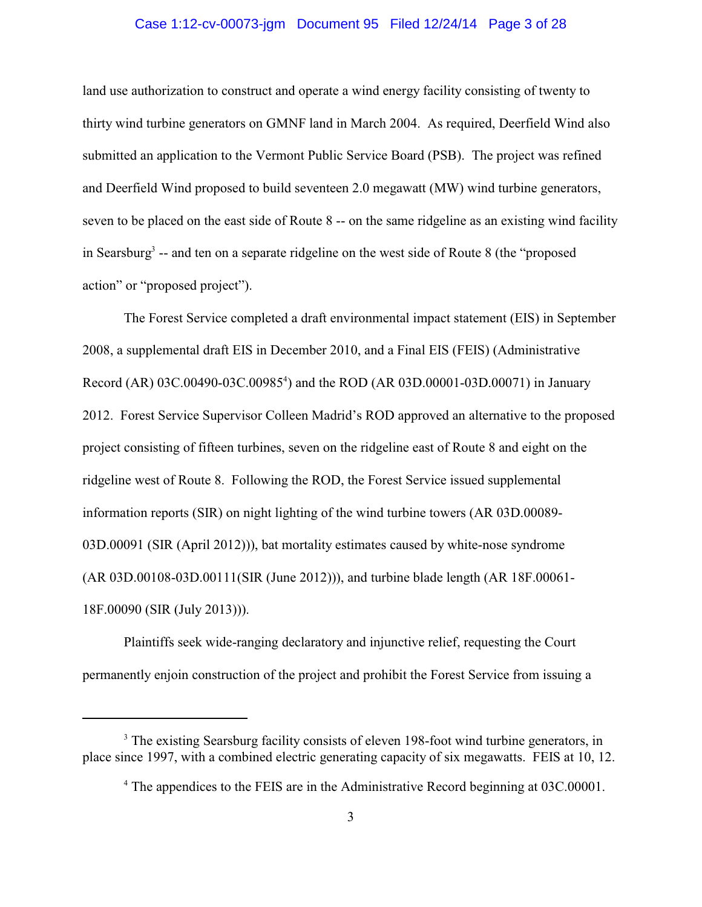#### Case 1:12-cv-00073-jgm Document 95 Filed 12/24/14 Page 3 of 28

land use authorization to construct and operate a wind energy facility consisting of twenty to thirty wind turbine generators on GMNF land in March 2004. As required, Deerfield Wind also submitted an application to the Vermont Public Service Board (PSB). The project was refined and Deerfield Wind proposed to build seventeen 2.0 megawatt (MW) wind turbine generators, seven to be placed on the east side of Route 8 -- on the same ridgeline as an existing wind facility in Searsburg<sup>3</sup> -- and ten on a separate ridgeline on the west side of Route 8 (the "proposed action" or "proposed project").

The Forest Service completed a draft environmental impact statement (EIS) in September 2008, a supplemental draft EIS in December 2010, and a Final EIS (FEIS) (Administrative Record (AR) 03C.00490-03C.00985<sup>4</sup>) and the ROD (AR 03D.00001-03D.00071) in January 2012. Forest Service Supervisor Colleen Madrid's ROD approved an alternative to the proposed project consisting of fifteen turbines, seven on the ridgeline east of Route 8 and eight on the ridgeline west of Route 8. Following the ROD, the Forest Service issued supplemental information reports (SIR) on night lighting of the wind turbine towers (AR 03D.00089- 03D.00091 (SIR (April 2012))), bat mortality estimates caused by white-nose syndrome (AR 03D.00108-03D.00111(SIR (June 2012))), and turbine blade length (AR 18F.00061- 18F.00090 (SIR (July 2013))).

Plaintiffs seek wide-ranging declaratory and injunctive relief, requesting the Court permanently enjoin construction of the project and prohibit the Forest Service from issuing a

<sup>&</sup>lt;sup>3</sup> The existing Searsburg facility consists of eleven 198-foot wind turbine generators, in place since 1997, with a combined electric generating capacity of six megawatts. FEIS at 10, 12.

<sup>&</sup>lt;sup>4</sup> The appendices to the FEIS are in the Administrative Record beginning at 03C.00001.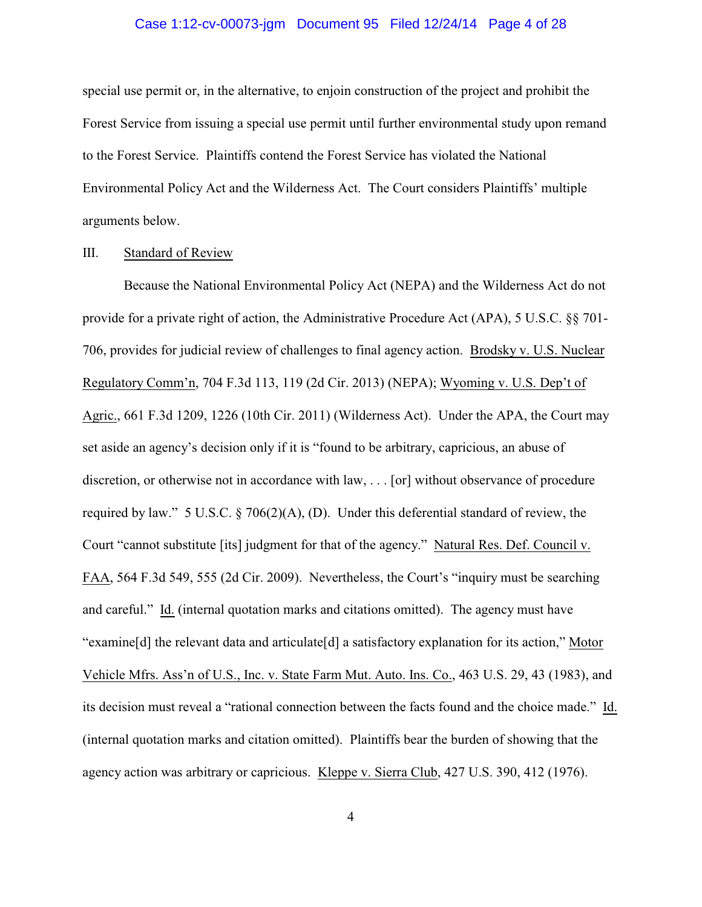#### Case 1:12-cv-00073-jgm Document 95 Filed 12/24/14 Page 4 of 28

special use permit or, in the alternative, to enjoin construction of the project and prohibit the Forest Service from issuing a special use permit until further environmental study upon remand to the Forest Service. Plaintiffs contend the Forest Service has violated the National Environmental Policy Act and the Wilderness Act. The Court considers Plaintiffs' multiple arguments below.

## III. Standard of Review

Because the National Environmental Policy Act (NEPA) and the Wilderness Act do not provide for a private right of action, the Administrative Procedure Act (APA), 5 U.S.C. §§ 701- 706, provides for judicial review of challenges to final agency action. Brodsky v. U.S. Nuclear Regulatory Comm'n, 704 F.3d 113, 119 (2d Cir. 2013) (NEPA); Wyoming v. U.S. Dep't of Agric., 661 F.3d 1209, 1226 (10th Cir. 2011) (Wilderness Act). Under the APA, the Court may set aside an agency's decision only if it is "found to be arbitrary, capricious, an abuse of discretion, or otherwise not in accordance with law, . . . [or] without observance of procedure required by law." 5 U.S.C. § 706(2)(A), (D). Under this deferential standard of review, the Court "cannot substitute [its] judgment for that of the agency." Natural Res. Def. Council v. FAA, 564 F.3d 549, 555 (2d Cir. 2009). Nevertheless, the Court's "inquiry must be searching and careful." Id. (internal quotation marks and citations omitted). The agency must have "examine[d] the relevant data and articulate[d] a satisfactory explanation for its action," Motor Vehicle Mfrs. Ass'n of U.S., Inc. v. State Farm Mut. Auto. Ins. Co., 463 U.S. 29, 43 (1983), and its decision must reveal a "rational connection between the facts found and the choice made." Id. (internal quotation marks and citation omitted). Plaintiffs bear the burden of showing that the agency action was arbitrary or capricious. Kleppe v. Sierra Club, 427 U.S. 390, 412 (1976).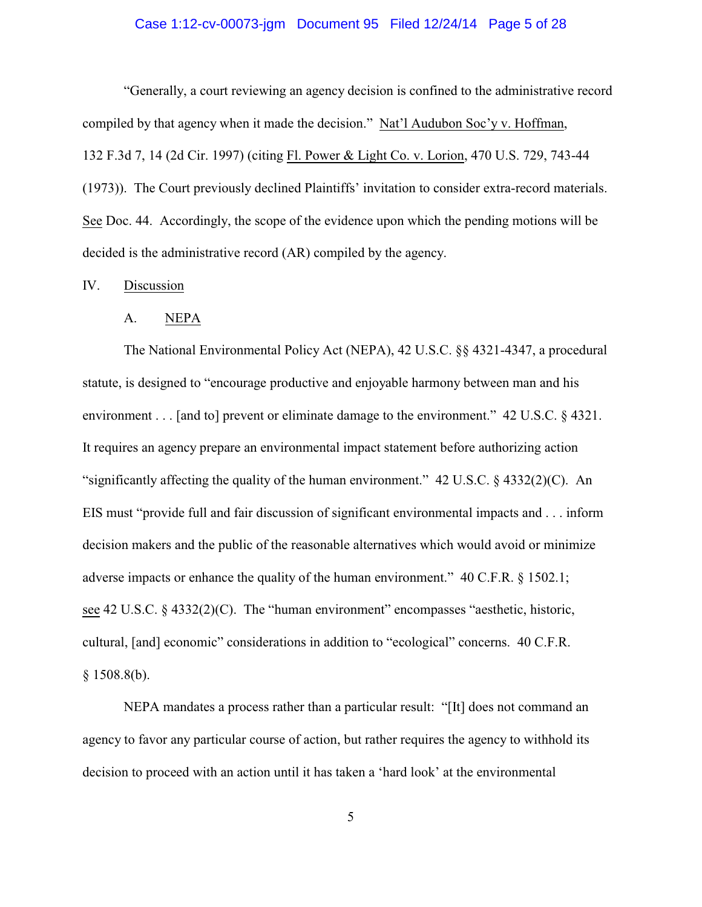#### Case 1:12-cv-00073-jgm Document 95 Filed 12/24/14 Page 5 of 28

"Generally, a court reviewing an agency decision is confined to the administrative record compiled by that agency when it made the decision." Nat'l Audubon Soc'y v. Hoffman, 132 F.3d 7, 14 (2d Cir. 1997) (citing Fl. Power & Light Co. v. Lorion, 470 U.S. 729, 743-44 (1973)). The Court previously declined Plaintiffs' invitation to consider extra-record materials. See Doc. 44. Accordingly, the scope of the evidence upon which the pending motions will be decided is the administrative record (AR) compiled by the agency.

## IV. Discussion

#### A. NEPA

The National Environmental Policy Act (NEPA), 42 U.S.C. §§ 4321-4347, a procedural statute, is designed to "encourage productive and enjoyable harmony between man and his environment . . . [and to] prevent or eliminate damage to the environment." 42 U.S.C. § 4321. It requires an agency prepare an environmental impact statement before authorizing action "significantly affecting the quality of the human environment." 42 U.S.C. § 4332(2)(C). An EIS must "provide full and fair discussion of significant environmental impacts and . . . inform decision makers and the public of the reasonable alternatives which would avoid or minimize adverse impacts or enhance the quality of the human environment." 40 C.F.R. § 1502.1; see 42 U.S.C. § 4332(2)(C). The "human environment" encompasses "aesthetic, historic, cultural, [and] economic" considerations in addition to "ecological" concerns. 40 C.F.R.  $§ 1508.8(b).$ 

NEPA mandates a process rather than a particular result: "[It] does not command an agency to favor any particular course of action, but rather requires the agency to withhold its decision to proceed with an action until it has taken a 'hard look' at the environmental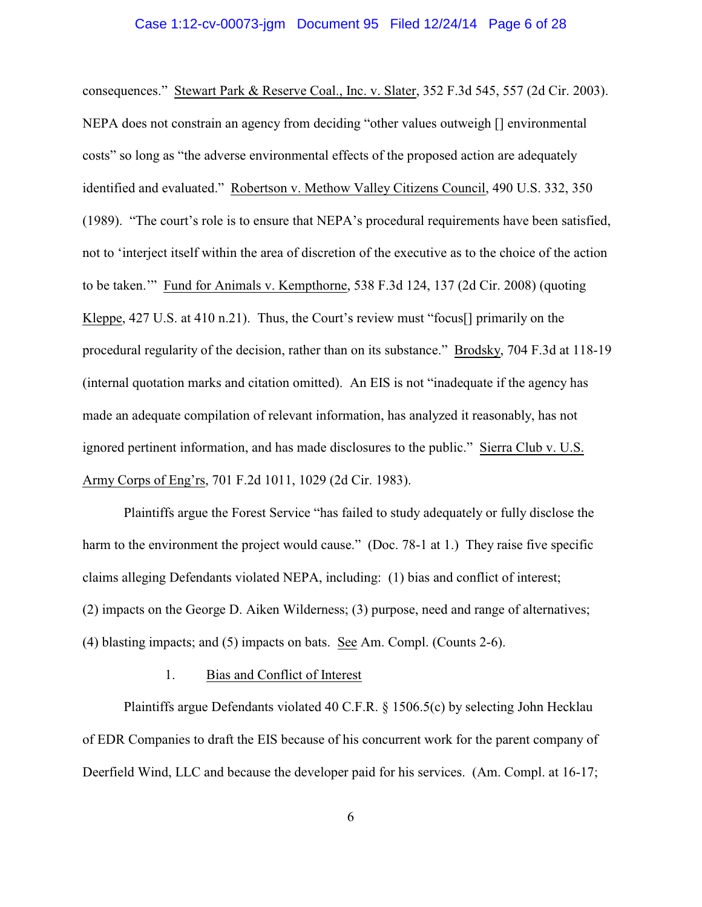#### Case 1:12-cv-00073-jgm Document 95 Filed 12/24/14 Page 6 of 28

consequences." Stewart Park & Reserve Coal., Inc. v. Slater, 352 F.3d 545, 557 (2d Cir. 2003). NEPA does not constrain an agency from deciding "other values outweigh [] environmental costs" so long as "the adverse environmental effects of the proposed action are adequately identified and evaluated." Robertson v. Methow Valley Citizens Council, 490 U.S. 332, 350 (1989). "The court's role is to ensure that NEPA's procedural requirements have been satisfied, not to 'interject itself within the area of discretion of the executive as to the choice of the action to be taken.'" Fund for Animals v. Kempthorne, 538 F.3d 124, 137 (2d Cir. 2008) (quoting Kleppe, 427 U.S. at 410 n.21). Thus, the Court's review must "focus<sup>[]</sup> primarily on the procedural regularity of the decision, rather than on its substance." Brodsky, 704 F.3d at 118-19 (internal quotation marks and citation omitted). An EIS is not "inadequate if the agency has made an adequate compilation of relevant information, has analyzed it reasonably, has not ignored pertinent information, and has made disclosures to the public." Sierra Club v. U.S. Army Corps of Eng'rs, 701 F.2d 1011, 1029 (2d Cir. 1983).

Plaintiffs argue the Forest Service "has failed to study adequately or fully disclose the harm to the environment the project would cause." (Doc. 78-1 at 1.) They raise five specific claims alleging Defendants violated NEPA, including: (1) bias and conflict of interest; (2) impacts on the George D. Aiken Wilderness; (3) purpose, need and range of alternatives; (4) blasting impacts; and (5) impacts on bats. See Am. Compl. (Counts 2-6).

# 1. Bias and Conflict of Interest

Plaintiffs argue Defendants violated 40 C.F.R. § 1506.5(c) by selecting John Hecklau of EDR Companies to draft the EIS because of his concurrent work for the parent company of Deerfield Wind, LLC and because the developer paid for his services. (Am. Compl. at 16-17;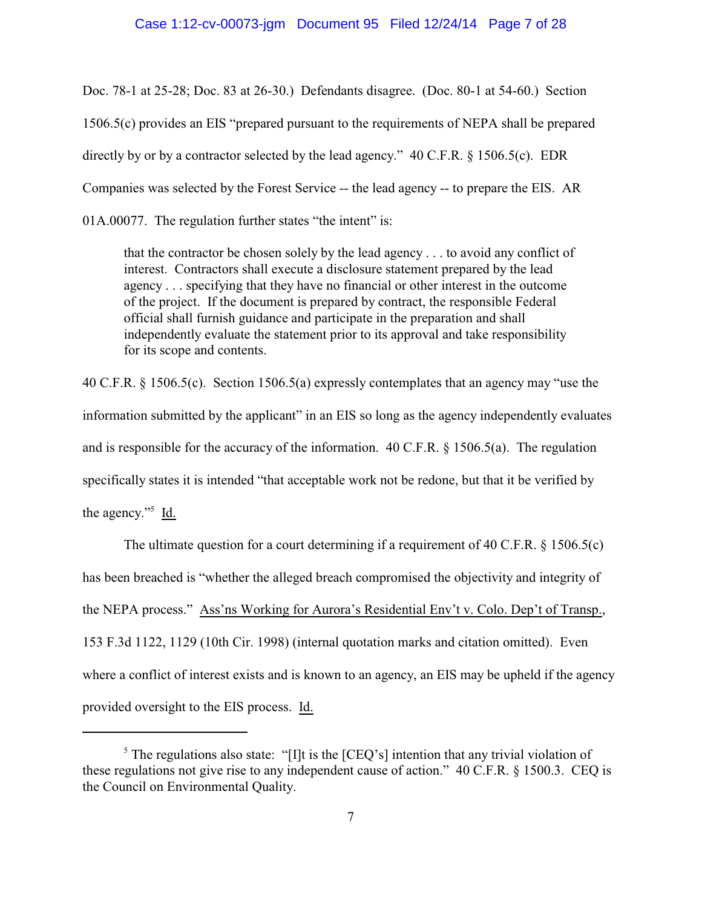#### Case 1:12-cv-00073-jgm Document 95 Filed 12/24/14 Page 7 of 28

Doc. 78-1 at 25-28; Doc. 83 at 26-30.) Defendants disagree. (Doc. 80-1 at 54-60.) Section 1506.5(c) provides an EIS "prepared pursuant to the requirements of NEPA shall be prepared directly by or by a contractor selected by the lead agency." 40 C.F.R. § 1506.5(c). EDR Companies was selected by the Forest Service -- the lead agency -- to prepare the EIS. AR 01A.00077. The regulation further states "the intent" is:

that the contractor be chosen solely by the lead agency . . . to avoid any conflict of interest. Contractors shall execute a disclosure statement prepared by the lead agency . . . specifying that they have no financial or other interest in the outcome of the project. If the document is prepared by contract, the responsible Federal official shall furnish guidance and participate in the preparation and shall independently evaluate the statement prior to its approval and take responsibility for its scope and contents.

40 C.F.R. § 1506.5(c). Section 1506.5(a) expressly contemplates that an agency may "use the information submitted by the applicant" in an EIS so long as the agency independently evaluates and is responsible for the accuracy of the information. 40 C.F.R. § 1506.5(a). The regulation specifically states it is intended "that acceptable work not be redone, but that it be verified by the agency."<sup>5</sup>  $\underline{Id}$ .

The ultimate question for a court determining if a requirement of 40 C.F.R. § 1506.5(c) has been breached is "whether the alleged breach compromised the objectivity and integrity of the NEPA process." Ass'ns Working for Aurora's Residential Env't v. Colo. Dep't of Transp., 153 F.3d 1122, 1129 (10th Cir. 1998) (internal quotation marks and citation omitted). Even where a conflict of interest exists and is known to an agency, an EIS may be upheld if the agency provided oversight to the EIS process. Id.

<sup>&</sup>lt;sup>5</sup> The regulations also state: "[I]t is the [CEQ's] intention that any trivial violation of these regulations not give rise to any independent cause of action." 40 C.F.R. § 1500.3. CEQ is the Council on Environmental Quality.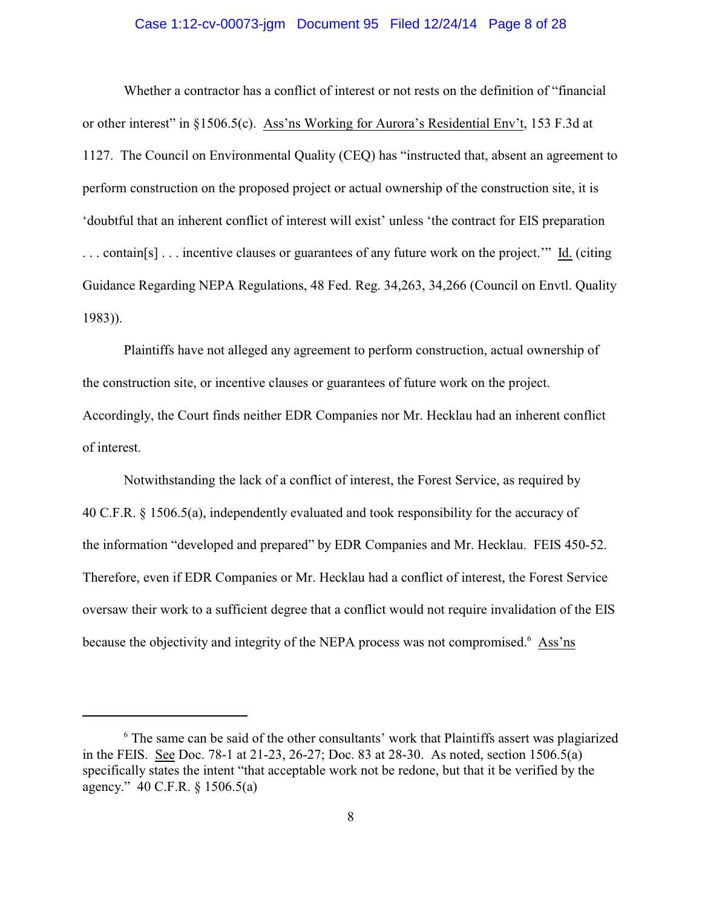#### Case 1:12-cv-00073-jgm Document 95 Filed 12/24/14 Page 8 of 28

Whether a contractor has a conflict of interest or not rests on the definition of "financial or other interest" in §1506.5(c). Ass'ns Working for Aurora's Residential Env't, 153 F.3d at 1127. The Council on Environmental Quality (CEQ) has "instructed that, absent an agreement to perform construction on the proposed project or actual ownership of the construction site, it is 'doubtful that an inherent conflict of interest will exist' unless 'the contract for EIS preparation . . . contain[s] . . . incentive clauses or guarantees of any future work on the project.'" Id. (citing Guidance Regarding NEPA Regulations, 48 Fed. Reg. 34,263, 34,266 (Council on Envtl. Quality 1983)).

Plaintiffs have not alleged any agreement to perform construction, actual ownership of the construction site, or incentive clauses or guarantees of future work on the project. Accordingly, the Court finds neither EDR Companies nor Mr. Hecklau had an inherent conflict of interest.

Notwithstanding the lack of a conflict of interest, the Forest Service, as required by 40 C.F.R. § 1506.5(a), independently evaluated and took responsibility for the accuracy of the information "developed and prepared" by EDR Companies and Mr. Hecklau. FEIS 450-52. Therefore, even if EDR Companies or Mr. Hecklau had a conflict of interest, the Forest Service oversaw their work to a sufficient degree that a conflict would not require invalidation of the EIS because the objectivity and integrity of the NEPA process was not compromised.<sup>6</sup> Ass'ns

<sup>&</sup>lt;sup>6</sup> The same can be said of the other consultants' work that Plaintiffs assert was plagiarized in the FEIS. See Doc. 78-1 at 21-23, 26-27; Doc. 83 at 28-30. As noted, section 1506.5(a) specifically states the intent "that acceptable work not be redone, but that it be verified by the agency." 40 C.F.R. § 1506.5(a)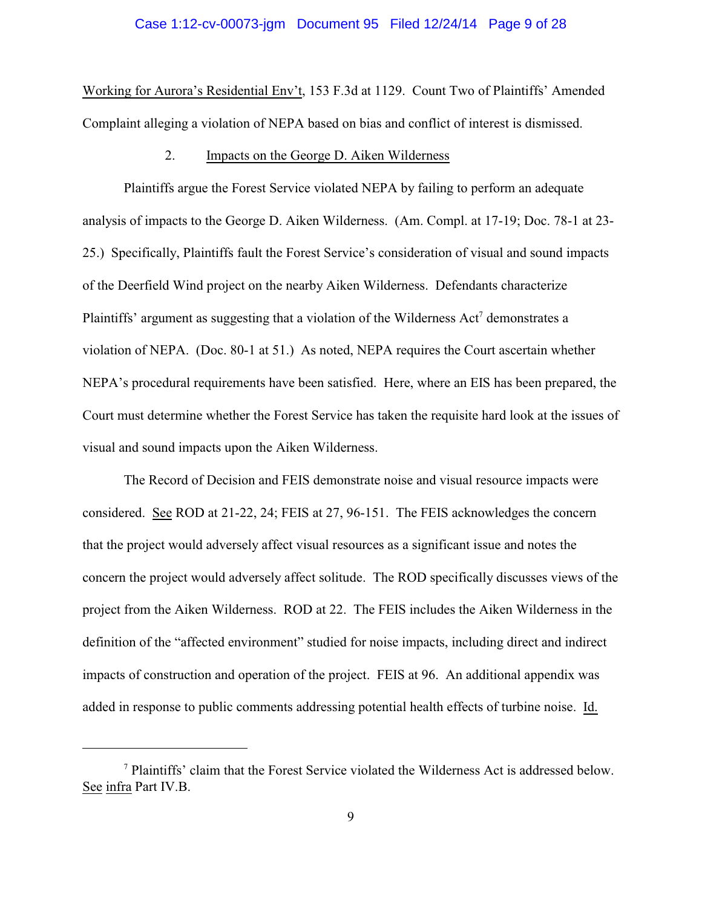#### Case 1:12-cv-00073-jgm Document 95 Filed 12/24/14 Page 9 of 28

Working for Aurora's Residential Env't, 153 F.3d at 1129. Count Two of Plaintiffs' Amended Complaint alleging a violation of NEPA based on bias and conflict of interest is dismissed.

#### 2. Impacts on the George D. Aiken Wilderness

Plaintiffs argue the Forest Service violated NEPA by failing to perform an adequate analysis of impacts to the George D. Aiken Wilderness. (Am. Compl. at 17-19; Doc. 78-1 at 23- 25.) Specifically, Plaintiffs fault the Forest Service's consideration of visual and sound impacts of the Deerfield Wind project on the nearby Aiken Wilderness. Defendants characterize Plaintiffs' argument as suggesting that a violation of the Wilderness Act<sup>7</sup> demonstrates a violation of NEPA. (Doc. 80-1 at 51.) As noted, NEPA requires the Court ascertain whether NEPA's procedural requirements have been satisfied. Here, where an EIS has been prepared, the Court must determine whether the Forest Service has taken the requisite hard look at the issues of visual and sound impacts upon the Aiken Wilderness.

The Record of Decision and FEIS demonstrate noise and visual resource impacts were considered. See ROD at 21-22, 24; FEIS at 27, 96-151. The FEIS acknowledges the concern that the project would adversely affect visual resources as a significant issue and notes the concern the project would adversely affect solitude. The ROD specifically discusses views of the project from the Aiken Wilderness. ROD at 22. The FEIS includes the Aiken Wilderness in the definition of the "affected environment" studied for noise impacts, including direct and indirect impacts of construction and operation of the project. FEIS at 96. An additional appendix was added in response to public comments addressing potential health effects of turbine noise. Id.

<sup>7</sup> Plaintiffs' claim that the Forest Service violated the Wilderness Act is addressed below. See infra Part IV.B.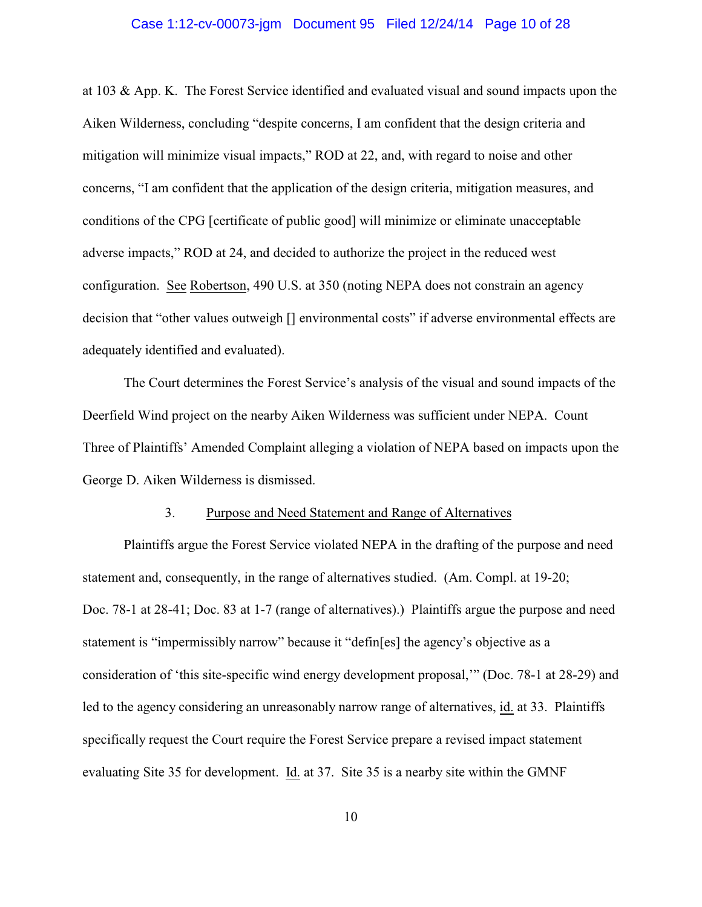#### Case 1:12-cv-00073-jgm Document 95 Filed 12/24/14 Page 10 of 28

at 103 & App. K. The Forest Service identified and evaluated visual and sound impacts upon the Aiken Wilderness, concluding "despite concerns, I am confident that the design criteria and mitigation will minimize visual impacts," ROD at 22, and, with regard to noise and other concerns, "I am confident that the application of the design criteria, mitigation measures, and conditions of the CPG [certificate of public good] will minimize or eliminate unacceptable adverse impacts," ROD at 24, and decided to authorize the project in the reduced west configuration. See Robertson, 490 U.S. at 350 (noting NEPA does not constrain an agency decision that "other values outweigh [] environmental costs" if adverse environmental effects are adequately identified and evaluated).

The Court determines the Forest Service's analysis of the visual and sound impacts of the Deerfield Wind project on the nearby Aiken Wilderness was sufficient under NEPA. Count Three of Plaintiffs' Amended Complaint alleging a violation of NEPA based on impacts upon the George D. Aiken Wilderness is dismissed.

#### 3. Purpose and Need Statement and Range of Alternatives

Plaintiffs argue the Forest Service violated NEPA in the drafting of the purpose and need statement and, consequently, in the range of alternatives studied. (Am. Compl. at 19-20; Doc. 78-1 at 28-41; Doc. 83 at 1-7 (range of alternatives).) Plaintiffs argue the purpose and need statement is "impermissibly narrow" because it "defin[es] the agency's objective as a consideration of 'this site-specific wind energy development proposal,'" (Doc. 78-1 at 28-29) and led to the agency considering an unreasonably narrow range of alternatives, id. at 33. Plaintiffs specifically request the Court require the Forest Service prepare a revised impact statement evaluating Site 35 for development. Id. at 37. Site 35 is a nearby site within the GMNF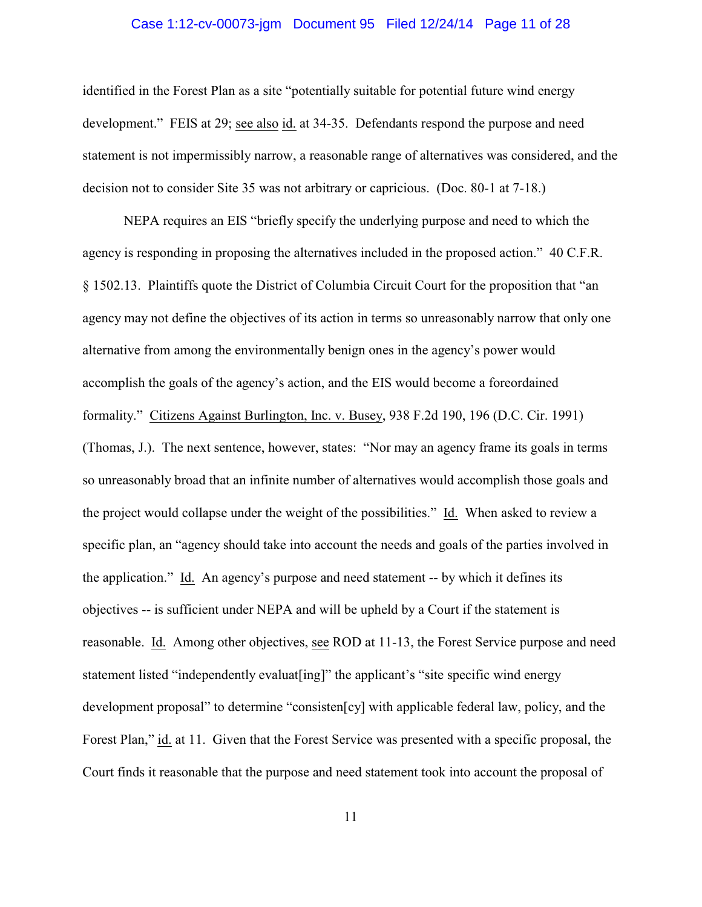#### Case 1:12-cv-00073-jgm Document 95 Filed 12/24/14 Page 11 of 28

identified in the Forest Plan as a site "potentially suitable for potential future wind energy development." FEIS at 29; see also id. at 34-35. Defendants respond the purpose and need statement is not impermissibly narrow, a reasonable range of alternatives was considered, and the decision not to consider Site 35 was not arbitrary or capricious. (Doc. 80-1 at 7-18.)

NEPA requires an EIS "briefly specify the underlying purpose and need to which the agency is responding in proposing the alternatives included in the proposed action." 40 C.F.R. § 1502.13. Plaintiffs quote the District of Columbia Circuit Court for the proposition that "an agency may not define the objectives of its action in terms so unreasonably narrow that only one alternative from among the environmentally benign ones in the agency's power would accomplish the goals of the agency's action, and the EIS would become a foreordained formality." Citizens Against Burlington, Inc. v. Busey, 938 F.2d 190, 196 (D.C. Cir. 1991) (Thomas, J.). The next sentence, however, states: "Nor may an agency frame its goals in terms so unreasonably broad that an infinite number of alternatives would accomplish those goals and the project would collapse under the weight of the possibilities." Id. When asked to review a specific plan, an "agency should take into account the needs and goals of the parties involved in the application." Id. An agency's purpose and need statement -- by which it defines its objectives -- is sufficient under NEPA and will be upheld by a Court if the statement is reasonable. Id. Among other objectives, see ROD at 11-13, the Forest Service purpose and need statement listed "independently evaluat[ing]" the applicant's "site specific wind energy development proposal" to determine "consisten[cy] with applicable federal law, policy, and the Forest Plan," id. at 11. Given that the Forest Service was presented with a specific proposal, the Court finds it reasonable that the purpose and need statement took into account the proposal of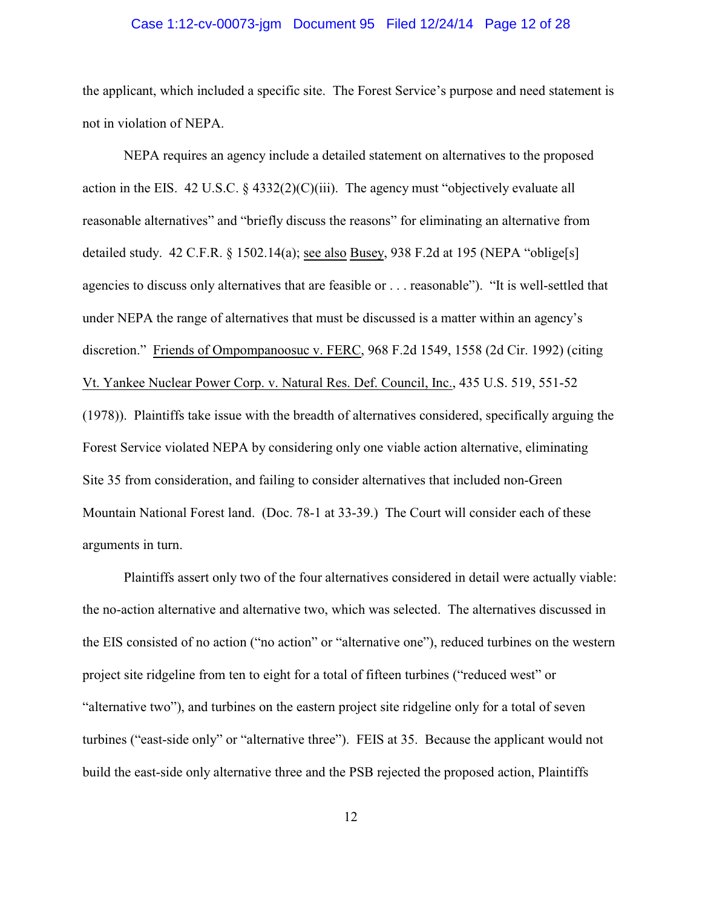#### Case 1:12-cv-00073-jgm Document 95 Filed 12/24/14 Page 12 of 28

the applicant, which included a specific site. The Forest Service's purpose and need statement is not in violation of NEPA.

NEPA requires an agency include a detailed statement on alternatives to the proposed action in the EIS. 42 U.S.C.  $\S$  4332(2)(C)(iii). The agency must "objectively evaluate all reasonable alternatives" and "briefly discuss the reasons" for eliminating an alternative from detailed study. 42 C.F.R.  $\S$  1502.14(a); see also Busey, 938 F.2d at 195 (NEPA "oblige[s] agencies to discuss only alternatives that are feasible or . . . reasonable"). "It is well-settled that under NEPA the range of alternatives that must be discussed is a matter within an agency's discretion." Friends of Ompompanoosuc v. FERC, 968 F.2d 1549, 1558 (2d Cir. 1992) (citing Vt. Yankee Nuclear Power Corp. v. Natural Res. Def. Council, Inc., 435 U.S. 519, 551-52 (1978)). Plaintiffs take issue with the breadth of alternatives considered, specifically arguing the Forest Service violated NEPA by considering only one viable action alternative, eliminating Site 35 from consideration, and failing to consider alternatives that included non-Green Mountain National Forest land. (Doc. 78-1 at 33-39.) The Court will consider each of these arguments in turn.

Plaintiffs assert only two of the four alternatives considered in detail were actually viable: the no-action alternative and alternative two, which was selected. The alternatives discussed in the EIS consisted of no action ("no action" or "alternative one"), reduced turbines on the western project site ridgeline from ten to eight for a total of fifteen turbines ("reduced west" or "alternative two"), and turbines on the eastern project site ridgeline only for a total of seven turbines ("east-side only" or "alternative three"). FEIS at 35. Because the applicant would not build the east-side only alternative three and the PSB rejected the proposed action, Plaintiffs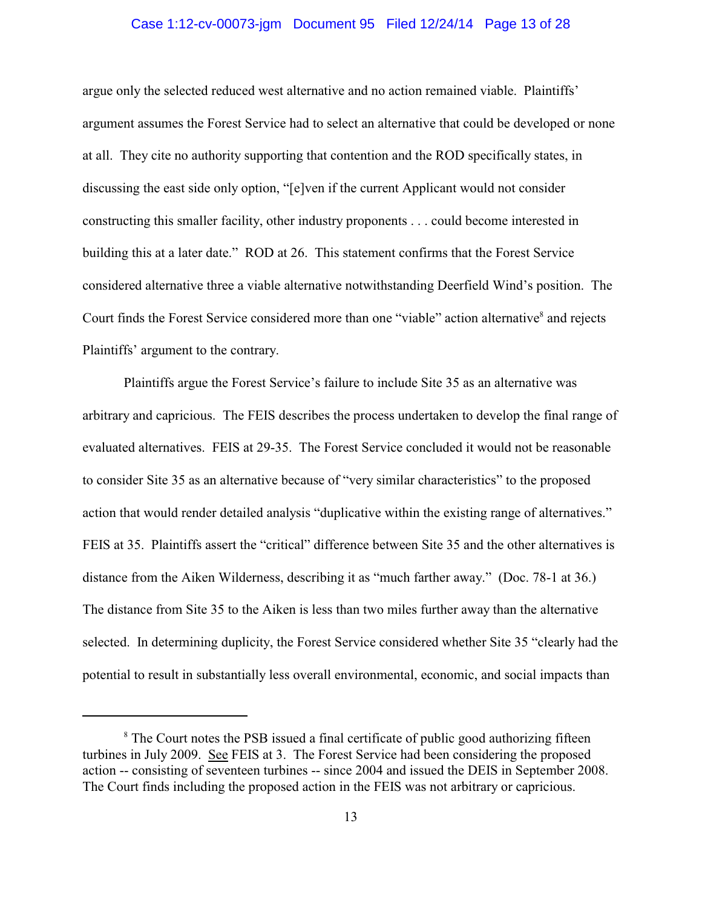#### Case 1:12-cv-00073-jgm Document 95 Filed 12/24/14 Page 13 of 28

argue only the selected reduced west alternative and no action remained viable. Plaintiffs' argument assumes the Forest Service had to select an alternative that could be developed or none at all. They cite no authority supporting that contention and the ROD specifically states, in discussing the east side only option, "[e]ven if the current Applicant would not consider constructing this smaller facility, other industry proponents . . . could become interested in building this at a later date." ROD at 26. This statement confirms that the Forest Service considered alternative three a viable alternative notwithstanding Deerfield Wind's position. The Court finds the Forest Service considered more than one "viable" action alternative<sup>8</sup> and rejects Plaintiffs' argument to the contrary.

Plaintiffs argue the Forest Service's failure to include Site 35 as an alternative was arbitrary and capricious. The FEIS describes the process undertaken to develop the final range of evaluated alternatives. FEIS at 29-35. The Forest Service concluded it would not be reasonable to consider Site 35 as an alternative because of "very similar characteristics" to the proposed action that would render detailed analysis "duplicative within the existing range of alternatives." FEIS at 35. Plaintiffs assert the "critical" difference between Site 35 and the other alternatives is distance from the Aiken Wilderness, describing it as "much farther away." (Doc. 78-1 at 36.) The distance from Site 35 to the Aiken is less than two miles further away than the alternative selected. In determining duplicity, the Forest Service considered whether Site 35 "clearly had the potential to result in substantially less overall environmental, economic, and social impacts than

<sup>&</sup>lt;sup>8</sup> The Court notes the PSB issued a final certificate of public good authorizing fifteen turbines in July 2009. See FEIS at 3. The Forest Service had been considering the proposed action -- consisting of seventeen turbines -- since 2004 and issued the DEIS in September 2008. The Court finds including the proposed action in the FEIS was not arbitrary or capricious.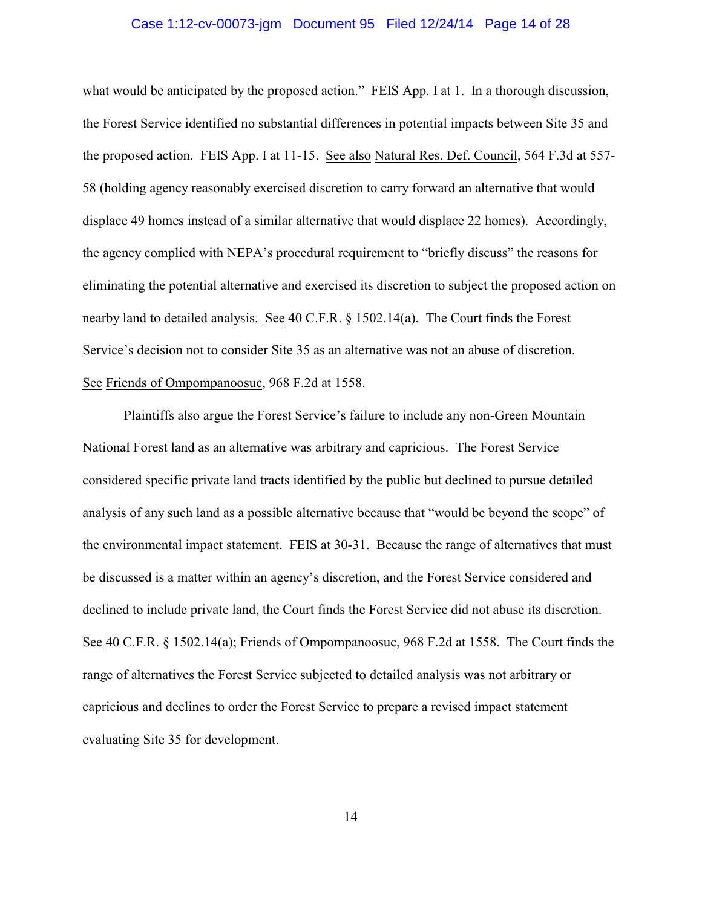#### Case 1:12-cv-00073-jgm Document 95 Filed 12/24/14 Page 14 of 28

what would be anticipated by the proposed action." FEIS App. I at 1. In a thorough discussion, the Forest Service identified no substantial differences in potential impacts between Site 35 and the proposed action. FEIS App. I at 11-15. See also Natural Res. Def. Council, 564 F.3d at 557- 58 (holding agency reasonably exercised discretion to carry forward an alternative that would displace 49 homes instead of a similar alternative that would displace 22 homes). Accordingly, the agency complied with NEPA's procedural requirement to "briefly discuss" the reasons for eliminating the potential alternative and exercised its discretion to subject the proposed action on nearby land to detailed analysis. See 40 C.F.R. § 1502.14(a). The Court finds the Forest Service's decision not to consider Site 35 as an alternative was not an abuse of discretion. See Friends of Ompompanoosuc, 968 F.2d at 1558.

Plaintiffs also argue the Forest Service's failure to include any non-Green Mountain National Forest land as an alternative was arbitrary and capricious. The Forest Service considered specific private land tracts identified by the public but declined to pursue detailed analysis of any such land as a possible alternative because that "would be beyond the scope" of the environmental impact statement. FEIS at 30-31. Because the range of alternatives that must be discussed is a matter within an agency's discretion, and the Forest Service considered and declined to include private land, the Court finds the Forest Service did not abuse its discretion. See 40 C.F.R. § 1502.14(a); Friends of Ompompanoosuc, 968 F.2d at 1558. The Court finds the range of alternatives the Forest Service subjected to detailed analysis was not arbitrary or capricious and declines to order the Forest Service to prepare a revised impact statement evaluating Site 35 for development.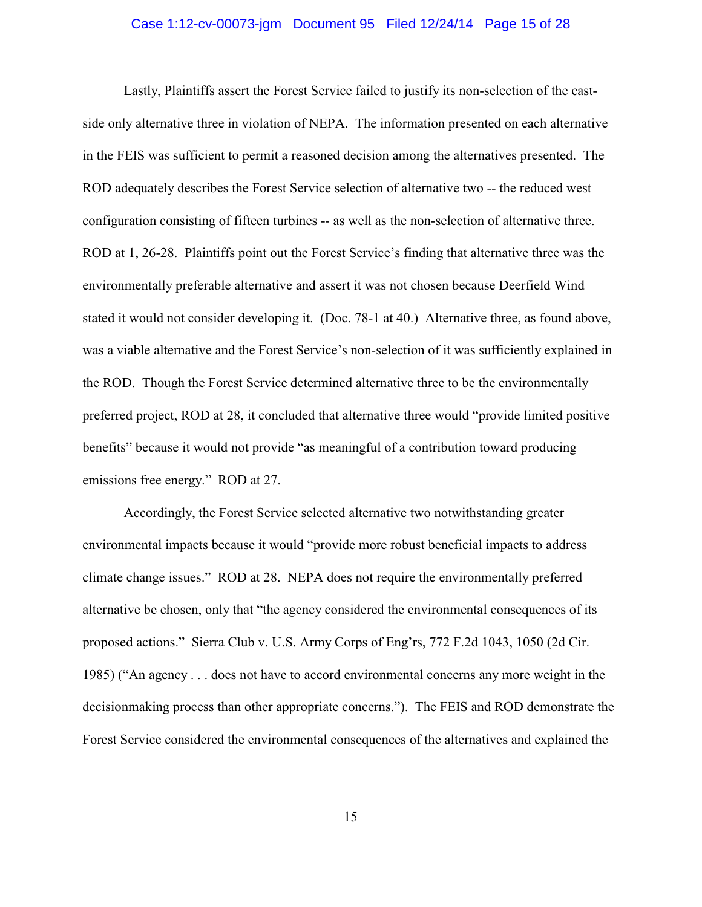#### Case 1:12-cv-00073-jgm Document 95 Filed 12/24/14 Page 15 of 28

Lastly, Plaintiffs assert the Forest Service failed to justify its non-selection of the eastside only alternative three in violation of NEPA. The information presented on each alternative in the FEIS was sufficient to permit a reasoned decision among the alternatives presented. The ROD adequately describes the Forest Service selection of alternative two -- the reduced west configuration consisting of fifteen turbines -- as well as the non-selection of alternative three. ROD at 1, 26-28. Plaintiffs point out the Forest Service's finding that alternative three was the environmentally preferable alternative and assert it was not chosen because Deerfield Wind stated it would not consider developing it. (Doc. 78-1 at 40.) Alternative three, as found above, was a viable alternative and the Forest Service's non-selection of it was sufficiently explained in the ROD. Though the Forest Service determined alternative three to be the environmentally preferred project, ROD at 28, it concluded that alternative three would "provide limited positive benefits" because it would not provide "as meaningful of a contribution toward producing emissions free energy." ROD at 27.

Accordingly, the Forest Service selected alternative two notwithstanding greater environmental impacts because it would "provide more robust beneficial impacts to address climate change issues." ROD at 28. NEPA does not require the environmentally preferred alternative be chosen, only that "the agency considered the environmental consequences of its proposed actions." Sierra Club v. U.S. Army Corps of Eng'rs, 772 F.2d 1043, 1050 (2d Cir. 1985) ("An agency . . . does not have to accord environmental concerns any more weight in the decisionmaking process than other appropriate concerns."). The FEIS and ROD demonstrate the Forest Service considered the environmental consequences of the alternatives and explained the

15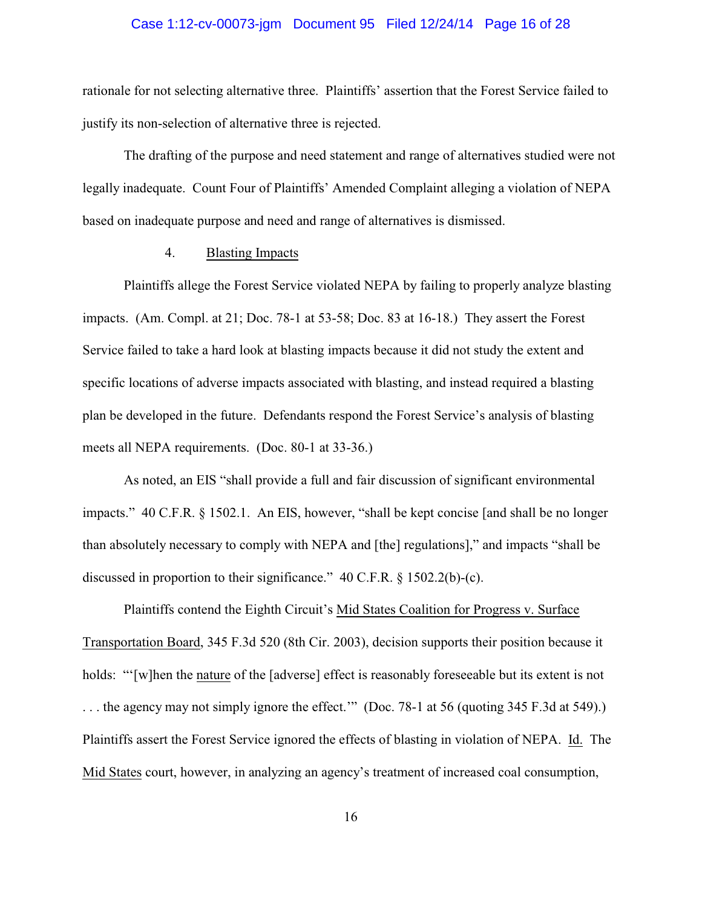# Case 1:12-cv-00073-jgm Document 95 Filed 12/24/14 Page 16 of 28

rationale for not selecting alternative three. Plaintiffs' assertion that the Forest Service failed to justify its non-selection of alternative three is rejected.

The drafting of the purpose and need statement and range of alternatives studied were not legally inadequate. Count Four of Plaintiffs' Amended Complaint alleging a violation of NEPA based on inadequate purpose and need and range of alternatives is dismissed.

### 4. Blasting Impacts

Plaintiffs allege the Forest Service violated NEPA by failing to properly analyze blasting impacts. (Am. Compl. at 21; Doc. 78-1 at 53-58; Doc. 83 at 16-18.) They assert the Forest Service failed to take a hard look at blasting impacts because it did not study the extent and specific locations of adverse impacts associated with blasting, and instead required a blasting plan be developed in the future. Defendants respond the Forest Service's analysis of blasting meets all NEPA requirements. (Doc. 80-1 at 33-36.)

As noted, an EIS "shall provide a full and fair discussion of significant environmental impacts." 40 C.F.R. § 1502.1. An EIS, however, "shall be kept concise [and shall be no longer than absolutely necessary to comply with NEPA and [the] regulations]," and impacts "shall be discussed in proportion to their significance." 40 C.F.R. § 1502.2(b)-(c).

Plaintiffs contend the Eighth Circuit's Mid States Coalition for Progress v. Surface Transportation Board, 345 F.3d 520 (8th Cir. 2003), decision supports their position because it holds: "'[w]hen the nature of the [adverse] effect is reasonably foreseeable but its extent is not . . . the agency may not simply ignore the effect.'" (Doc. 78-1 at 56 (quoting 345 F.3d at 549).) Plaintiffs assert the Forest Service ignored the effects of blasting in violation of NEPA. Id. The Mid States court, however, in analyzing an agency's treatment of increased coal consumption,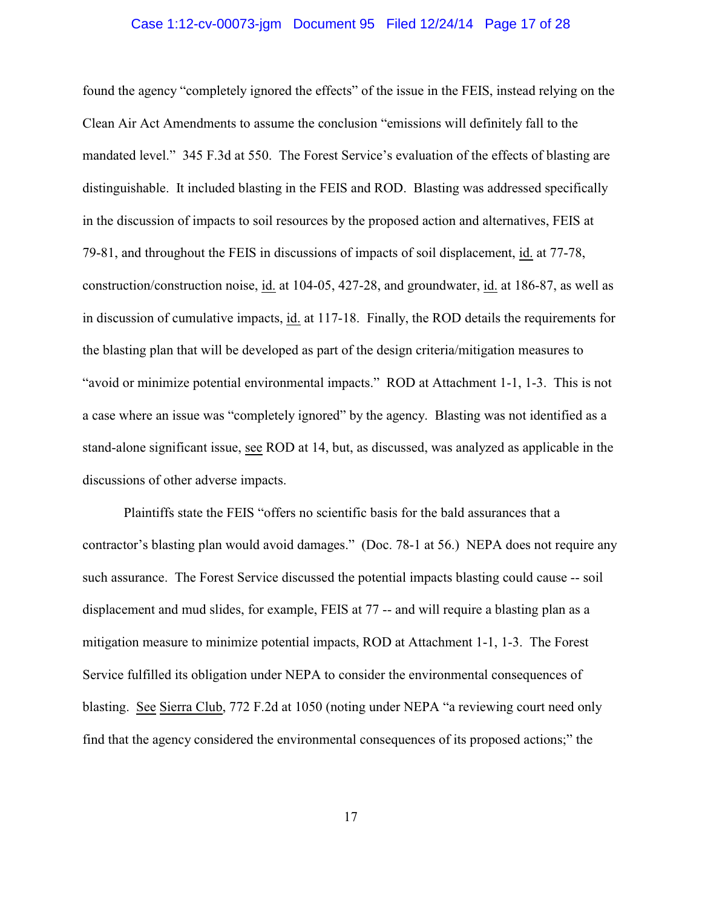#### Case 1:12-cv-00073-jgm Document 95 Filed 12/24/14 Page 17 of 28

found the agency "completely ignored the effects" of the issue in the FEIS, instead relying on the Clean Air Act Amendments to assume the conclusion "emissions will definitely fall to the mandated level." 345 F.3d at 550. The Forest Service's evaluation of the effects of blasting are distinguishable. It included blasting in the FEIS and ROD. Blasting was addressed specifically in the discussion of impacts to soil resources by the proposed action and alternatives, FEIS at 79-81, and throughout the FEIS in discussions of impacts of soil displacement, id. at 77-78, construction/construction noise, id. at 104-05, 427-28, and groundwater, id. at 186-87, as well as in discussion of cumulative impacts, id. at 117-18. Finally, the ROD details the requirements for the blasting plan that will be developed as part of the design criteria/mitigation measures to "avoid or minimize potential environmental impacts." ROD at Attachment 1-1, 1-3. This is not a case where an issue was "completely ignored" by the agency. Blasting was not identified as a stand-alone significant issue, see ROD at 14, but, as discussed, was analyzed as applicable in the discussions of other adverse impacts.

Plaintiffs state the FEIS "offers no scientific basis for the bald assurances that a contractor's blasting plan would avoid damages." (Doc. 78-1 at 56.) NEPA does not require any such assurance. The Forest Service discussed the potential impacts blasting could cause -- soil displacement and mud slides, for example, FEIS at 77 -- and will require a blasting plan as a mitigation measure to minimize potential impacts, ROD at Attachment 1-1, 1-3. The Forest Service fulfilled its obligation under NEPA to consider the environmental consequences of blasting. See Sierra Club, 772 F.2d at 1050 (noting under NEPA "a reviewing court need only find that the agency considered the environmental consequences of its proposed actions;" the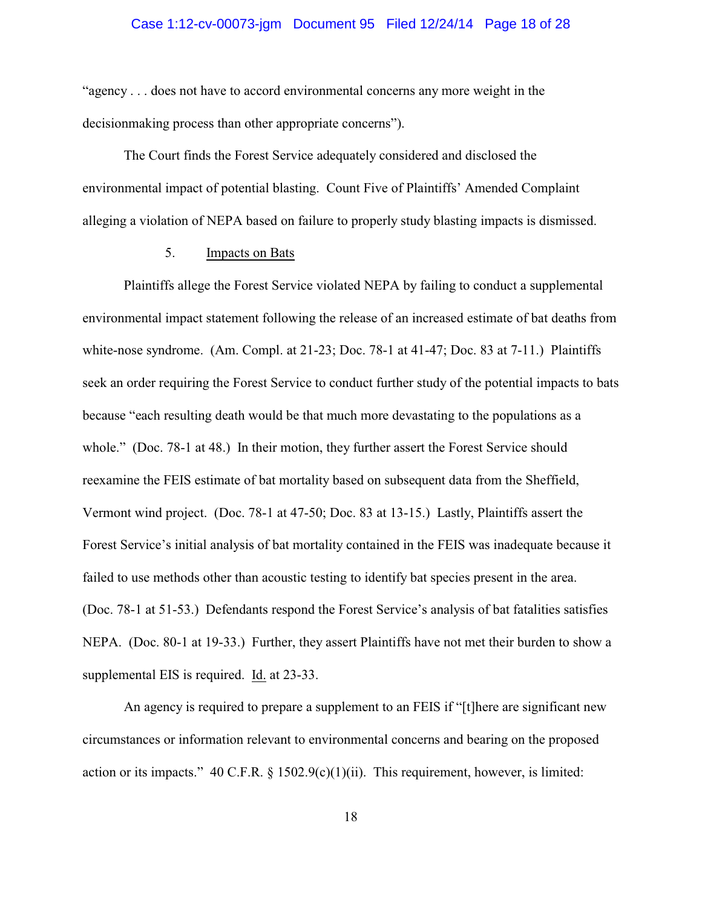#### Case 1:12-cv-00073-jgm Document 95 Filed 12/24/14 Page 18 of 28

"agency . . . does not have to accord environmental concerns any more weight in the decisionmaking process than other appropriate concerns").

The Court finds the Forest Service adequately considered and disclosed the environmental impact of potential blasting. Count Five of Plaintiffs' Amended Complaint alleging a violation of NEPA based on failure to properly study blasting impacts is dismissed.

## 5. Impacts on Bats

Plaintiffs allege the Forest Service violated NEPA by failing to conduct a supplemental environmental impact statement following the release of an increased estimate of bat deaths from white-nose syndrome. (Am. Compl. at 21-23; Doc. 78-1 at 41-47; Doc. 83 at 7-11.) Plaintiffs seek an order requiring the Forest Service to conduct further study of the potential impacts to bats because "each resulting death would be that much more devastating to the populations as a whole." (Doc. 78-1 at 48.) In their motion, they further assert the Forest Service should reexamine the FEIS estimate of bat mortality based on subsequent data from the Sheffield, Vermont wind project. (Doc. 78-1 at 47-50; Doc. 83 at 13-15.) Lastly, Plaintiffs assert the Forest Service's initial analysis of bat mortality contained in the FEIS was inadequate because it failed to use methods other than acoustic testing to identify bat species present in the area. (Doc. 78-1 at 51-53.) Defendants respond the Forest Service's analysis of bat fatalities satisfies NEPA. (Doc. 80-1 at 19-33.) Further, they assert Plaintiffs have not met their burden to show a supplemental EIS is required. Id. at 23-33.

An agency is required to prepare a supplement to an FEIS if "[t]here are significant new circumstances or information relevant to environmental concerns and bearing on the proposed action or its impacts." 40 C.F.R. § 1502.9(c)(1)(ii). This requirement, however, is limited: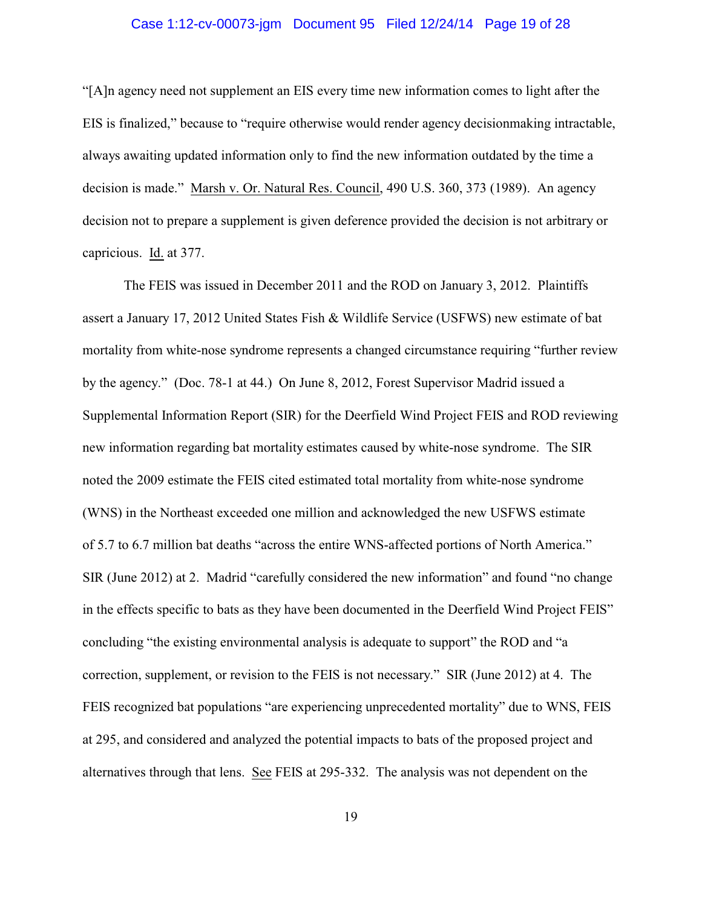#### Case 1:12-cv-00073-jgm Document 95 Filed 12/24/14 Page 19 of 28

"[A]n agency need not supplement an EIS every time new information comes to light after the EIS is finalized," because to "require otherwise would render agency decisionmaking intractable, always awaiting updated information only to find the new information outdated by the time a decision is made." Marsh v. Or. Natural Res. Council, 490 U.S. 360, 373 (1989). An agency decision not to prepare a supplement is given deference provided the decision is not arbitrary or capricious. Id. at 377.

The FEIS was issued in December 2011 and the ROD on January 3, 2012. Plaintiffs assert a January 17, 2012 United States Fish & Wildlife Service (USFWS) new estimate of bat mortality from white-nose syndrome represents a changed circumstance requiring "further review by the agency." (Doc. 78-1 at 44.) On June 8, 2012, Forest Supervisor Madrid issued a Supplemental Information Report (SIR) for the Deerfield Wind Project FEIS and ROD reviewing new information regarding bat mortality estimates caused by white-nose syndrome. The SIR noted the 2009 estimate the FEIS cited estimated total mortality from white-nose syndrome (WNS) in the Northeast exceeded one million and acknowledged the new USFWS estimate of 5.7 to 6.7 million bat deaths "across the entire WNS-affected portions of North America." SIR (June 2012) at 2. Madrid "carefully considered the new information" and found "no change in the effects specific to bats as they have been documented in the Deerfield Wind Project FEIS" concluding "the existing environmental analysis is adequate to support" the ROD and "a correction, supplement, or revision to the FEIS is not necessary." SIR (June 2012) at 4. The FEIS recognized bat populations "are experiencing unprecedented mortality" due to WNS, FEIS at 295, and considered and analyzed the potential impacts to bats of the proposed project and alternatives through that lens. See FEIS at 295-332. The analysis was not dependent on the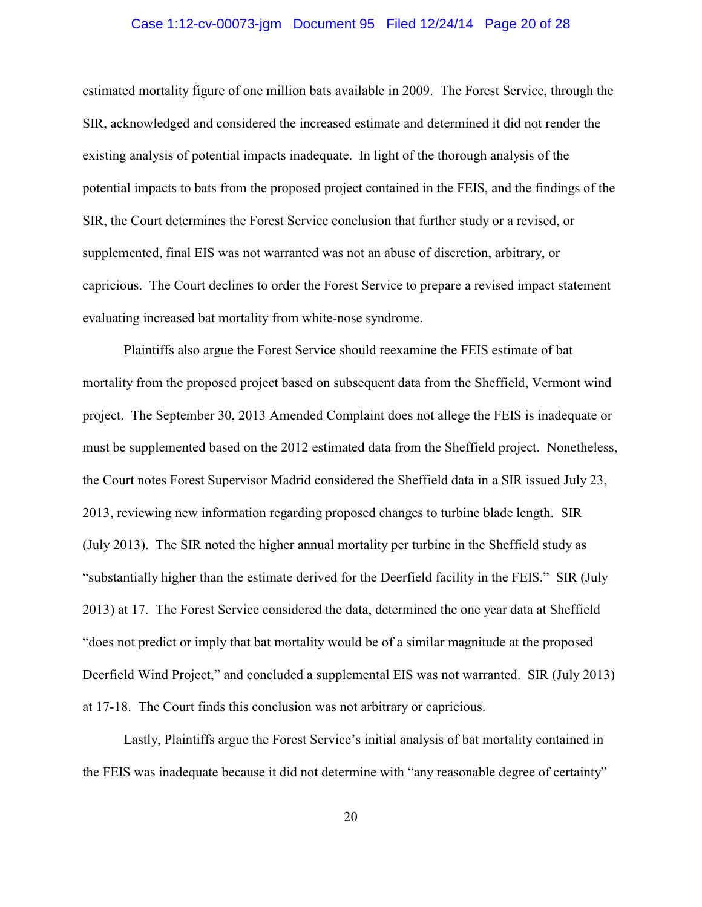#### Case 1:12-cv-00073-jgm Document 95 Filed 12/24/14 Page 20 of 28

estimated mortality figure of one million bats available in 2009. The Forest Service, through the SIR, acknowledged and considered the increased estimate and determined it did not render the existing analysis of potential impacts inadequate. In light of the thorough analysis of the potential impacts to bats from the proposed project contained in the FEIS, and the findings of the SIR, the Court determines the Forest Service conclusion that further study or a revised, or supplemented, final EIS was not warranted was not an abuse of discretion, arbitrary, or capricious. The Court declines to order the Forest Service to prepare a revised impact statement evaluating increased bat mortality from white-nose syndrome.

Plaintiffs also argue the Forest Service should reexamine the FEIS estimate of bat mortality from the proposed project based on subsequent data from the Sheffield, Vermont wind project. The September 30, 2013 Amended Complaint does not allege the FEIS is inadequate or must be supplemented based on the 2012 estimated data from the Sheffield project. Nonetheless, the Court notes Forest Supervisor Madrid considered the Sheffield data in a SIR issued July 23, 2013, reviewing new information regarding proposed changes to turbine blade length. SIR (July 2013). The SIR noted the higher annual mortality per turbine in the Sheffield study as "substantially higher than the estimate derived for the Deerfield facility in the FEIS." SIR (July 2013) at 17. The Forest Service considered the data, determined the one year data at Sheffield "does not predict or imply that bat mortality would be of a similar magnitude at the proposed Deerfield Wind Project," and concluded a supplemental EIS was not warranted. SIR (July 2013) at 17-18. The Court finds this conclusion was not arbitrary or capricious.

Lastly, Plaintiffs argue the Forest Service's initial analysis of bat mortality contained in the FEIS was inadequate because it did not determine with "any reasonable degree of certainty"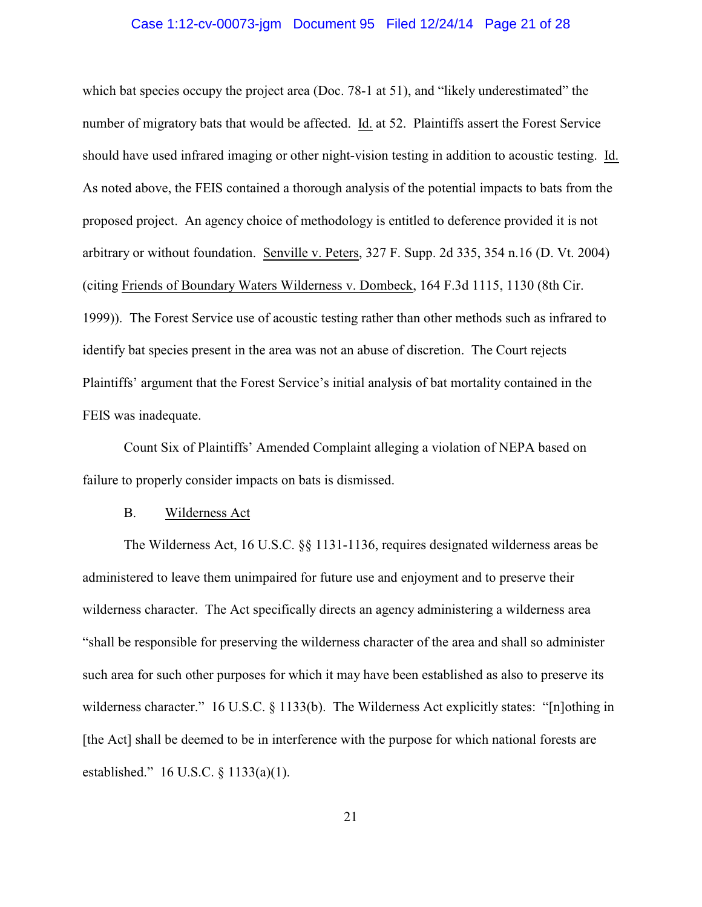#### Case 1:12-cv-00073-jgm Document 95 Filed 12/24/14 Page 21 of 28

which bat species occupy the project area (Doc. 78-1 at 51), and "likely underestimated" the number of migratory bats that would be affected. Id. at 52. Plaintiffs assert the Forest Service should have used infrared imaging or other night-vision testing in addition to acoustic testing. Id. As noted above, the FEIS contained a thorough analysis of the potential impacts to bats from the proposed project. An agency choice of methodology is entitled to deference provided it is not arbitrary or without foundation. Senville v. Peters, 327 F. Supp. 2d 335, 354 n.16 (D. Vt. 2004) (citing Friends of Boundary Waters Wilderness v. Dombeck, 164 F.3d 1115, 1130 (8th Cir. 1999)). The Forest Service use of acoustic testing rather than other methods such as infrared to identify bat species present in the area was not an abuse of discretion. The Court rejects Plaintiffs' argument that the Forest Service's initial analysis of bat mortality contained in the FEIS was inadequate.

Count Six of Plaintiffs' Amended Complaint alleging a violation of NEPA based on failure to properly consider impacts on bats is dismissed.

#### B. Wilderness Act

The Wilderness Act, 16 U.S.C. §§ 1131-1136, requires designated wilderness areas be administered to leave them unimpaired for future use and enjoyment and to preserve their wilderness character. The Act specifically directs an agency administering a wilderness area "shall be responsible for preserving the wilderness character of the area and shall so administer such area for such other purposes for which it may have been established as also to preserve its wilderness character." 16 U.S.C. § 1133(b). The Wilderness Act explicitly states: "[n]othing in [the Act] shall be deemed to be in interference with the purpose for which national forests are established." 16 U.S.C. § 1133(a)(1).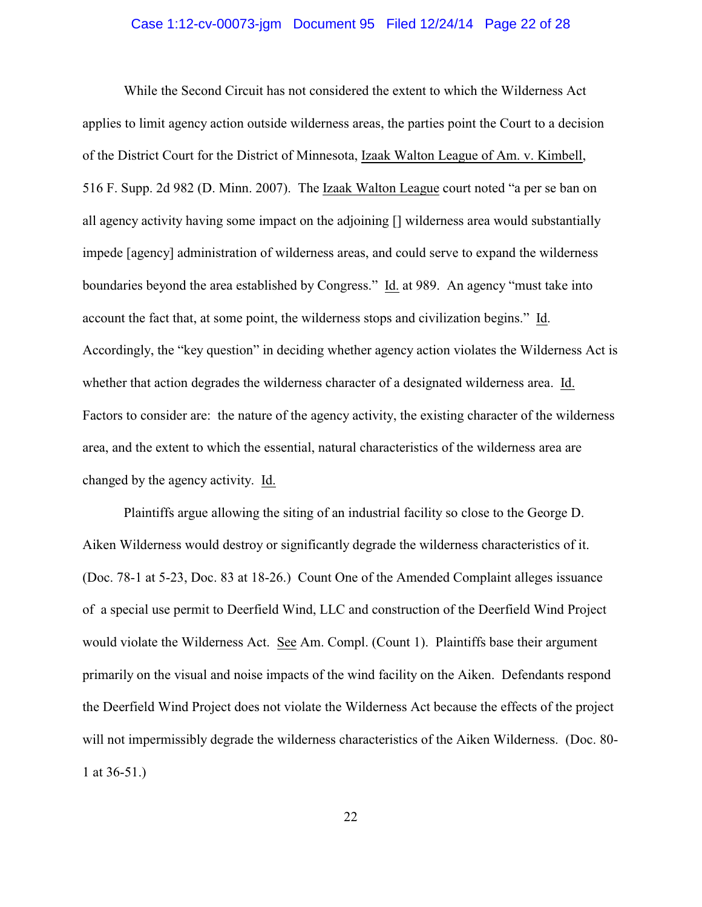#### Case 1:12-cv-00073-jgm Document 95 Filed 12/24/14 Page 22 of 28

While the Second Circuit has not considered the extent to which the Wilderness Act applies to limit agency action outside wilderness areas, the parties point the Court to a decision of the District Court for the District of Minnesota, Izaak Walton League of Am. v. Kimbell, 516 F. Supp. 2d 982 (D. Minn. 2007). The Izaak Walton League court noted "a per se ban on all agency activity having some impact on the adjoining [] wilderness area would substantially impede [agency] administration of wilderness areas, and could serve to expand the wilderness boundaries beyond the area established by Congress." Id. at 989. An agency "must take into account the fact that, at some point, the wilderness stops and civilization begins." Id. Accordingly, the "key question" in deciding whether agency action violates the Wilderness Act is whether that action degrades the wilderness character of a designated wilderness area. Id. Factors to consider are: the nature of the agency activity, the existing character of the wilderness area, and the extent to which the essential, natural characteristics of the wilderness area are changed by the agency activity. Id.

Plaintiffs argue allowing the siting of an industrial facility so close to the George D. Aiken Wilderness would destroy or significantly degrade the wilderness characteristics of it. (Doc. 78-1 at 5-23, Doc. 83 at 18-26.) Count One of the Amended Complaint alleges issuance of a special use permit to Deerfield Wind, LLC and construction of the Deerfield Wind Project would violate the Wilderness Act. See Am. Compl. (Count 1). Plaintiffs base their argument primarily on the visual and noise impacts of the wind facility on the Aiken. Defendants respond the Deerfield Wind Project does not violate the Wilderness Act because the effects of the project will not impermissibly degrade the wilderness characteristics of the Aiken Wilderness. (Doc. 80- 1 at 36-51.)

22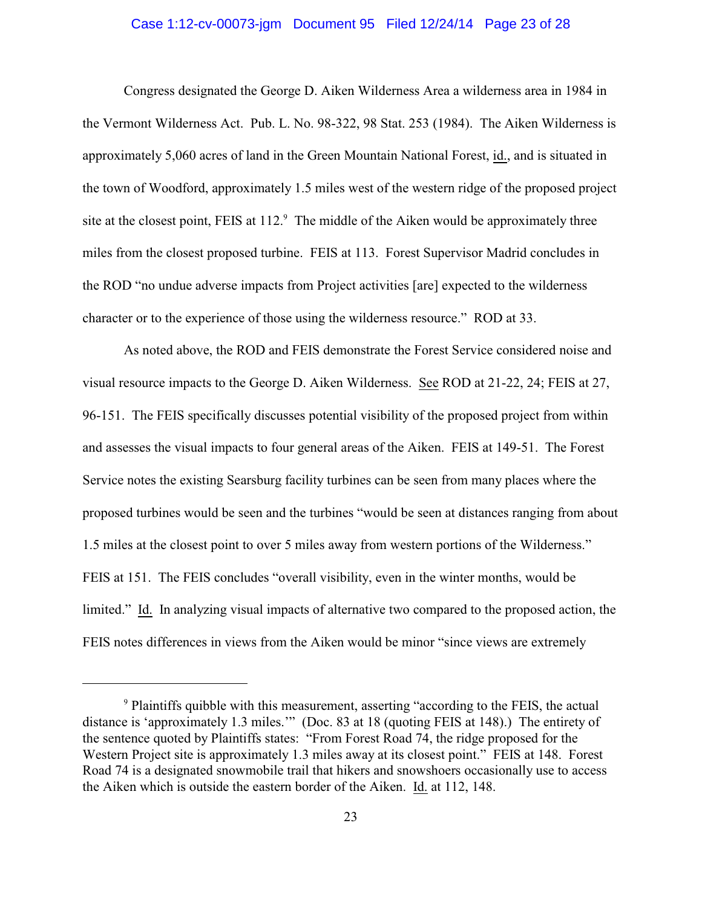# Case 1:12-cv-00073-jgm Document 95 Filed 12/24/14 Page 23 of 28

Congress designated the George D. Aiken Wilderness Area a wilderness area in 1984 in the Vermont Wilderness Act. Pub. L. No. 98-322, 98 Stat. 253 (1984). The Aiken Wilderness is approximately 5,060 acres of land in the Green Mountain National Forest, id., and is situated in the town of Woodford, approximately 1.5 miles west of the western ridge of the proposed project site at the closest point, FEIS at  $112.9$  The middle of the Aiken would be approximately three miles from the closest proposed turbine. FEIS at 113. Forest Supervisor Madrid concludes in the ROD "no undue adverse impacts from Project activities [are] expected to the wilderness character or to the experience of those using the wilderness resource." ROD at 33.

As noted above, the ROD and FEIS demonstrate the Forest Service considered noise and visual resource impacts to the George D. Aiken Wilderness. See ROD at 21-22, 24; FEIS at 27, 96-151. The FEIS specifically discusses potential visibility of the proposed project from within and assesses the visual impacts to four general areas of the Aiken. FEIS at 149-51. The Forest Service notes the existing Searsburg facility turbines can be seen from many places where the proposed turbines would be seen and the turbines "would be seen at distances ranging from about 1.5 miles at the closest point to over 5 miles away from western portions of the Wilderness." FEIS at 151. The FEIS concludes "overall visibility, even in the winter months, would be limited." Id. In analyzing visual impacts of alternative two compared to the proposed action, the FEIS notes differences in views from the Aiken would be minor "since views are extremely

<sup>&</sup>lt;sup>9</sup> Plaintiffs quibble with this measurement, asserting "according to the FEIS, the actual distance is 'approximately 1.3 miles.'" (Doc. 83 at 18 (quoting FEIS at 148).) The entirety of the sentence quoted by Plaintiffs states: "From Forest Road 74, the ridge proposed for the Western Project site is approximately 1.3 miles away at its closest point." FEIS at 148. Forest Road 74 is a designated snowmobile trail that hikers and snowshoers occasionally use to access the Aiken which is outside the eastern border of the Aiken. Id. at 112, 148.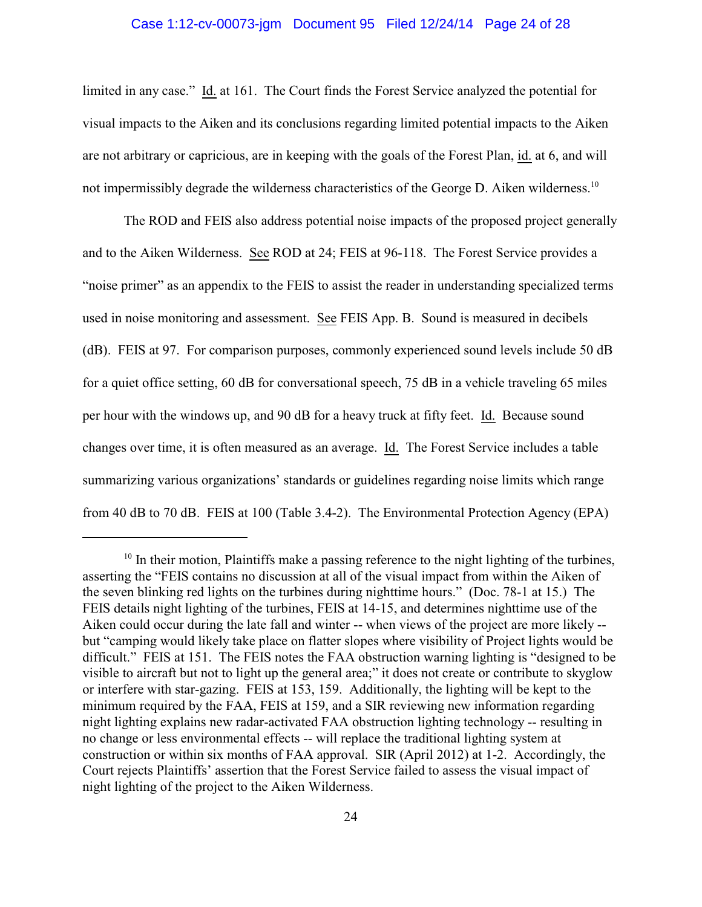#### Case 1:12-cv-00073-jgm Document 95 Filed 12/24/14 Page 24 of 28

limited in any case." Id. at 161. The Court finds the Forest Service analyzed the potential for visual impacts to the Aiken and its conclusions regarding limited potential impacts to the Aiken are not arbitrary or capricious, are in keeping with the goals of the Forest Plan, id. at 6, and will not impermissibly degrade the wilderness characteristics of the George D. Aiken wilderness.<sup>10</sup>

The ROD and FEIS also address potential noise impacts of the proposed project generally and to the Aiken Wilderness. See ROD at 24; FEIS at 96-118. The Forest Service provides a "noise primer" as an appendix to the FEIS to assist the reader in understanding specialized terms used in noise monitoring and assessment. See FEIS App. B. Sound is measured in decibels (dB). FEIS at 97. For comparison purposes, commonly experienced sound levels include 50 dB for a quiet office setting, 60 dB for conversational speech, 75 dB in a vehicle traveling 65 miles per hour with the windows up, and 90 dB for a heavy truck at fifty feet. Id. Because sound changes over time, it is often measured as an average. Id. The Forest Service includes a table summarizing various organizations' standards or guidelines regarding noise limits which range from 40 dB to 70 dB. FEIS at 100 (Table 3.4-2). The Environmental Protection Agency (EPA)

<sup>&</sup>lt;sup>10</sup> In their motion, Plaintiffs make a passing reference to the night lighting of the turbines, asserting the "FEIS contains no discussion at all of the visual impact from within the Aiken of the seven blinking red lights on the turbines during nighttime hours." (Doc. 78-1 at 15.) The FEIS details night lighting of the turbines, FEIS at 14-15, and determines nighttime use of the Aiken could occur during the late fall and winter -- when views of the project are more likely - but "camping would likely take place on flatter slopes where visibility of Project lights would be difficult." FEIS at 151. The FEIS notes the FAA obstruction warning lighting is "designed to be visible to aircraft but not to light up the general area;" it does not create or contribute to skyglow or interfere with star-gazing. FEIS at 153, 159. Additionally, the lighting will be kept to the minimum required by the FAA, FEIS at 159, and a SIR reviewing new information regarding night lighting explains new radar-activated FAA obstruction lighting technology -- resulting in no change or less environmental effects -- will replace the traditional lighting system at construction or within six months of FAA approval. SIR (April 2012) at 1-2. Accordingly, the Court rejects Plaintiffs' assertion that the Forest Service failed to assess the visual impact of night lighting of the project to the Aiken Wilderness.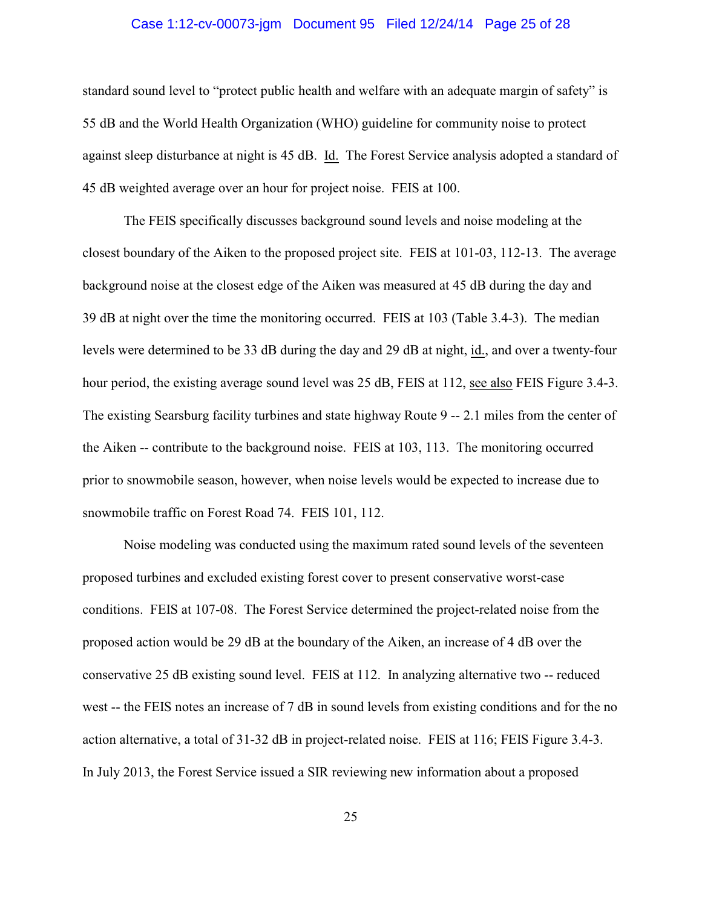#### Case 1:12-cv-00073-jgm Document 95 Filed 12/24/14 Page 25 of 28

standard sound level to "protect public health and welfare with an adequate margin of safety" is 55 dB and the World Health Organization (WHO) guideline for community noise to protect against sleep disturbance at night is 45 dB. Id. The Forest Service analysis adopted a standard of 45 dB weighted average over an hour for project noise. FEIS at 100.

The FEIS specifically discusses background sound levels and noise modeling at the closest boundary of the Aiken to the proposed project site. FEIS at 101-03, 112-13. The average background noise at the closest edge of the Aiken was measured at 45 dB during the day and 39 dB at night over the time the monitoring occurred. FEIS at 103 (Table 3.4-3). The median levels were determined to be 33 dB during the day and 29 dB at night, id., and over a twenty-four hour period, the existing average sound level was 25 dB, FEIS at 112, see also FEIS Figure 3.4-3. The existing Searsburg facility turbines and state highway Route 9 -- 2.1 miles from the center of the Aiken -- contribute to the background noise. FEIS at 103, 113. The monitoring occurred prior to snowmobile season, however, when noise levels would be expected to increase due to snowmobile traffic on Forest Road 74. FEIS 101, 112.

Noise modeling was conducted using the maximum rated sound levels of the seventeen proposed turbines and excluded existing forest cover to present conservative worst-case conditions. FEIS at 107-08. The Forest Service determined the project-related noise from the proposed action would be 29 dB at the boundary of the Aiken, an increase of 4 dB over the conservative 25 dB existing sound level. FEIS at 112. In analyzing alternative two -- reduced west -- the FEIS notes an increase of 7 dB in sound levels from existing conditions and for the no action alternative, a total of 31-32 dB in project-related noise. FEIS at 116; FEIS Figure 3.4-3. In July 2013, the Forest Service issued a SIR reviewing new information about a proposed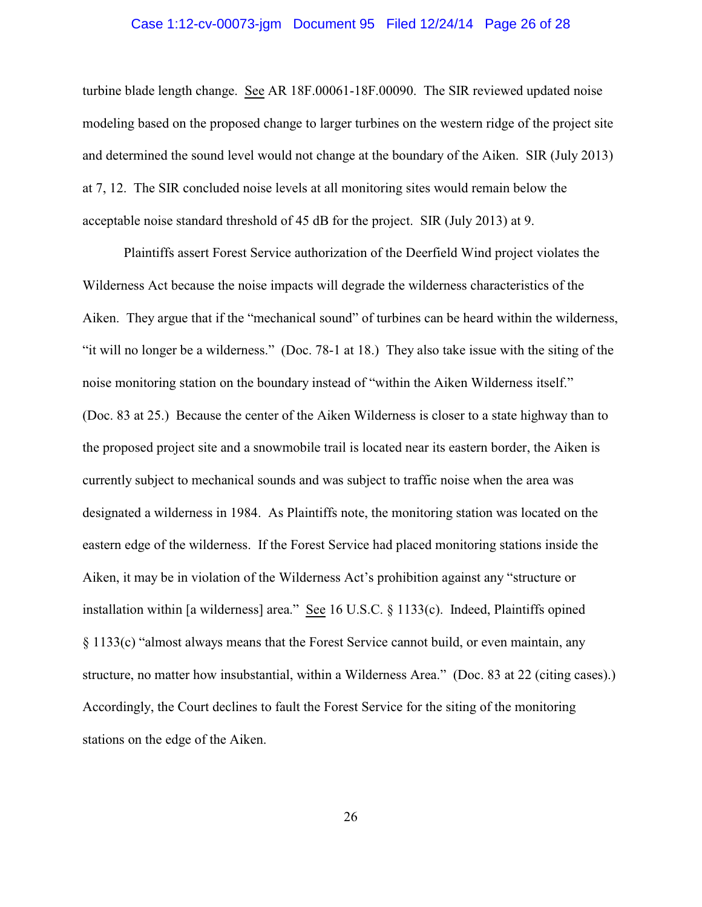#### Case 1:12-cv-00073-jgm Document 95 Filed 12/24/14 Page 26 of 28

turbine blade length change. See AR 18F.00061-18F.00090. The SIR reviewed updated noise modeling based on the proposed change to larger turbines on the western ridge of the project site and determined the sound level would not change at the boundary of the Aiken. SIR (July 2013) at 7, 12. The SIR concluded noise levels at all monitoring sites would remain below the acceptable noise standard threshold of 45 dB for the project. SIR (July 2013) at 9.

Plaintiffs assert Forest Service authorization of the Deerfield Wind project violates the Wilderness Act because the noise impacts will degrade the wilderness characteristics of the Aiken. They argue that if the "mechanical sound" of turbines can be heard within the wilderness, "it will no longer be a wilderness." (Doc. 78-1 at 18.) They also take issue with the siting of the noise monitoring station on the boundary instead of "within the Aiken Wilderness itself." (Doc. 83 at 25.) Because the center of the Aiken Wilderness is closer to a state highway than to the proposed project site and a snowmobile trail is located near its eastern border, the Aiken is currently subject to mechanical sounds and was subject to traffic noise when the area was designated a wilderness in 1984. As Plaintiffs note, the monitoring station was located on the eastern edge of the wilderness. If the Forest Service had placed monitoring stations inside the Aiken, it may be in violation of the Wilderness Act's prohibition against any "structure or installation within [a wilderness] area." See 16 U.S.C. § 1133(c). Indeed, Plaintiffs opined § 1133(c) "almost always means that the Forest Service cannot build, or even maintain, any structure, no matter how insubstantial, within a Wilderness Area." (Doc. 83 at 22 (citing cases).) Accordingly, the Court declines to fault the Forest Service for the siting of the monitoring stations on the edge of the Aiken.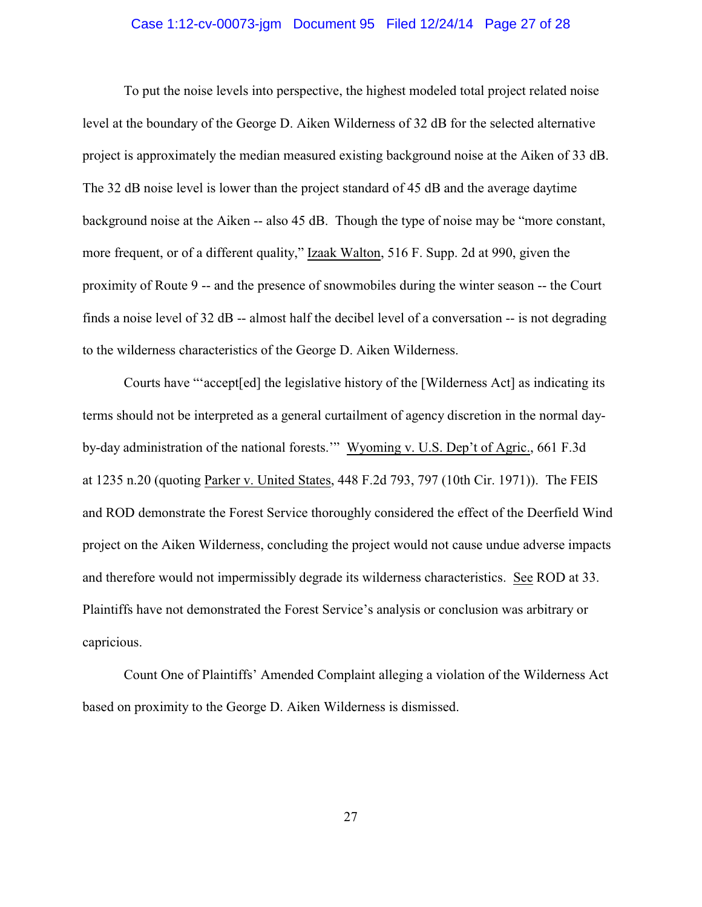#### Case 1:12-cv-00073-jgm Document 95 Filed 12/24/14 Page 27 of 28

To put the noise levels into perspective, the highest modeled total project related noise level at the boundary of the George D. Aiken Wilderness of 32 dB for the selected alternative project is approximately the median measured existing background noise at the Aiken of 33 dB. The 32 dB noise level is lower than the project standard of 45 dB and the average daytime background noise at the Aiken -- also 45 dB. Though the type of noise may be "more constant, more frequent, or of a different quality," Izaak Walton, 516 F. Supp. 2d at 990, given the proximity of Route 9 -- and the presence of snowmobiles during the winter season -- the Court finds a noise level of 32 dB -- almost half the decibel level of a conversation -- is not degrading to the wilderness characteristics of the George D. Aiken Wilderness.

Courts have "'accept[ed] the legislative history of the [Wilderness Act] as indicating its terms should not be interpreted as a general curtailment of agency discretion in the normal dayby-day administration of the national forests.'" Wyoming v. U.S. Dep't of Agric., 661 F.3d at 1235 n.20 (quoting Parker v. United States, 448 F.2d 793, 797 (10th Cir. 1971)). The FEIS and ROD demonstrate the Forest Service thoroughly considered the effect of the Deerfield Wind project on the Aiken Wilderness, concluding the project would not cause undue adverse impacts and therefore would not impermissibly degrade its wilderness characteristics. See ROD at 33. Plaintiffs have not demonstrated the Forest Service's analysis or conclusion was arbitrary or capricious.

Count One of Plaintiffs' Amended Complaint alleging a violation of the Wilderness Act based on proximity to the George D. Aiken Wilderness is dismissed.